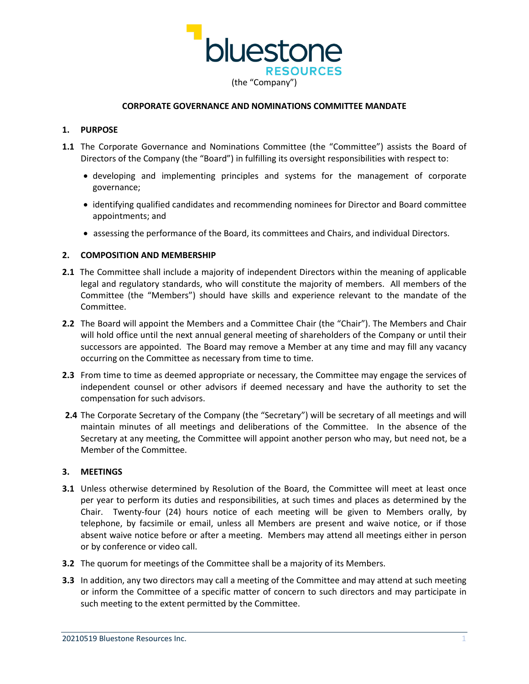

# **CORPORATE GOVERNANCE AND NOMINATIONS COMMITTEE MANDATE**

# **1. PURPOSE**

- **1.1** The Corporate Governance and Nominations Committee (the "Committee") assists the Board of Directors of the Company (the "Board") in fulfilling its oversight responsibilities with respect to:
	- developing and implementing principles and systems for the management of corporate governance;
	- identifying qualified candidates and recommending nominees for Director and Board committee appointments; and
	- assessing the performance of the Board, its committees and Chairs, and individual Directors.

# **2. COMPOSITION AND MEMBERSHIP**

- **2.1** The Committee shall include a majority of independent Directors within the meaning of applicable legal and regulatory standards, who will constitute the majority of members. All members of the Committee (the "Members") should have skills and experience relevant to the mandate of the Committee.
- **2.2** The Board will appoint the Members and a Committee Chair (the "Chair"). The Members and Chair will hold office until the next annual general meeting of shareholders of the Company or until their successors are appointed. The Board may remove a Member at any time and may fill any vacancy occurring on the Committee as necessary from time to time.
- **2.3** From time to time as deemed appropriate or necessary, the Committee may engage the services of independent counsel or other advisors if deemed necessary and have the authority to set the compensation for such advisors.
- **2.4** The Corporate Secretary of the Company (the "Secretary") will be secretary of all meetings and will maintain minutes of all meetings and deliberations of the Committee. In the absence of the Secretary at any meeting, the Committee will appoint another person who may, but need not, be a Member of the Committee.

#### **3. MEETINGS**

- **3.1** Unless otherwise determined by Resolution of the Board, the Committee will meet at least once per year to perform its duties and responsibilities, at such times and places as determined by the Chair. Twenty-four (24) hours notice of each meeting will be given to Members orally, by telephone, by facsimile or email, unless all Members are present and waive notice, or if those absent waive notice before or after a meeting. Members may attend all meetings either in person or by conference or video call.
- **3.2** The quorum for meetings of the Committee shall be a majority of its Members.
- **3.3** In addition, any two directors may call a meeting of the Committee and may attend at such meeting or inform the Committee of a specific matter of concern to such directors and may participate in such meeting to the extent permitted by the Committee.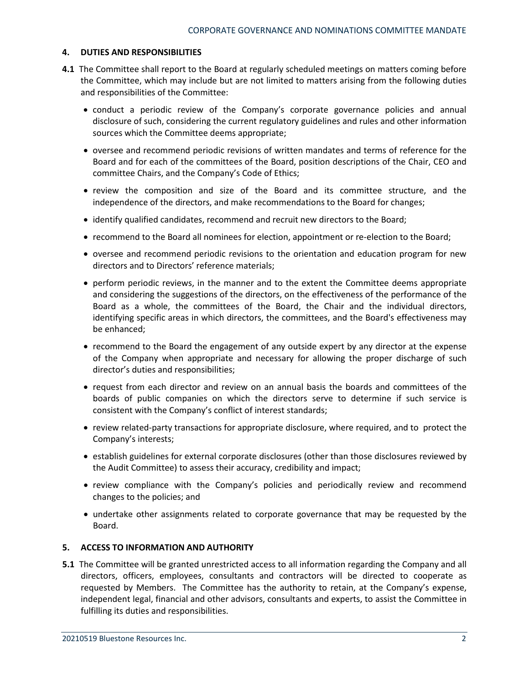# **4. DUTIES AND RESPONSIBILITIES**

- **4.1** The Committee shall report to the Board at regularly scheduled meetings on matters coming before the Committee, which may include but are not limited to matters arising from the following duties and responsibilities of the Committee:
	- conduct a periodic review of the Company's corporate governance policies and annual disclosure of such, considering the current regulatory guidelines and rules and other information sources which the Committee deems appropriate;
	- oversee and recommend periodic revisions of written mandates and terms of reference for the Board and for each of the committees of the Board, position descriptions of the Chair, CEO and committee Chairs, and the Company's Code of Ethics;
	- review the composition and size of the Board and its committee structure, and the independence of the directors, and make recommendations to the Board for changes;
	- identify qualified candidates, recommend and recruit new directors to the Board;
	- recommend to the Board all nominees for election, appointment or re-election to the Board;
	- oversee and recommend periodic revisions to the orientation and education program for new directors and to Directors' reference materials;
	- perform periodic reviews, in the manner and to the extent the Committee deems appropriate and considering the suggestions of the directors, on the effectiveness of the performance of the Board as a whole, the committees of the Board, the Chair and the individual directors, identifying specific areas in which directors, the committees, and the Board's effectiveness may be enhanced;
	- recommend to the Board the engagement of any outside expert by any director at the expense of the Company when appropriate and necessary for allowing the proper discharge of such director's duties and responsibilities;
	- request from each director and review on an annual basis the boards and committees of the boards of public companies on which the directors serve to determine if such service is consistent with the Company's conflict of interest standards;
	- review related-party transactions for appropriate disclosure, where required, and to protect the Company's interests;
	- establish guidelines for external corporate disclosures (other than those disclosures reviewed by the Audit Committee) to assess their accuracy, credibility and impact;
	- review compliance with the Company's policies and periodically review and recommend changes to the policies; and
	- undertake other assignments related to corporate governance that may be requested by the Board.

#### **5. ACCESS TO INFORMATION AND AUTHORITY**

**5.1** The Committee will be granted unrestricted access to all information regarding the Company and all directors, officers, employees, consultants and contractors will be directed to cooperate as requested by Members. The Committee has the authority to retain, at the Company's expense, independent legal, financial and other advisors, consultants and experts, to assist the Committee in fulfilling its duties and responsibilities.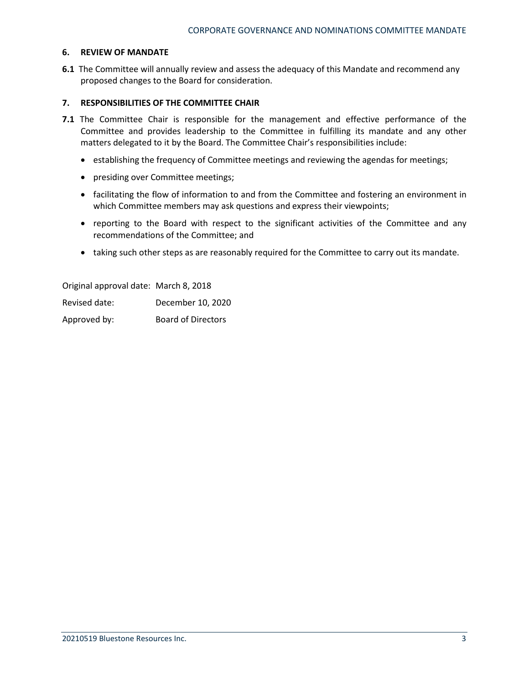## **6. REVIEW OF MANDATE**

**6.1** The Committee will annually review and assess the adequacy of this Mandate and recommend any proposed changes to the Board for consideration.

#### **7. RESPONSIBILITIES OF THE COMMITTEE CHAIR**

- **7.1** The Committee Chair is responsible for the management and effective performance of the Committee and provides leadership to the Committee in fulfilling its mandate and any other matters delegated to it by the Board. The Committee Chair's responsibilities include:
	- establishing the frequency of Committee meetings and reviewing the agendas for meetings;
	- presiding over Committee meetings;
	- facilitating the flow of information to and from the Committee and fostering an environment in which Committee members may ask questions and express their viewpoints;
	- reporting to the Board with respect to the significant activities of the Committee and any recommendations of the Committee; and
	- taking such other steps as are reasonably required for the Committee to carry out its mandate.

Original approval date: March 8, 2018 Revised date: December 10, 2020 Approved by: Board of Directors